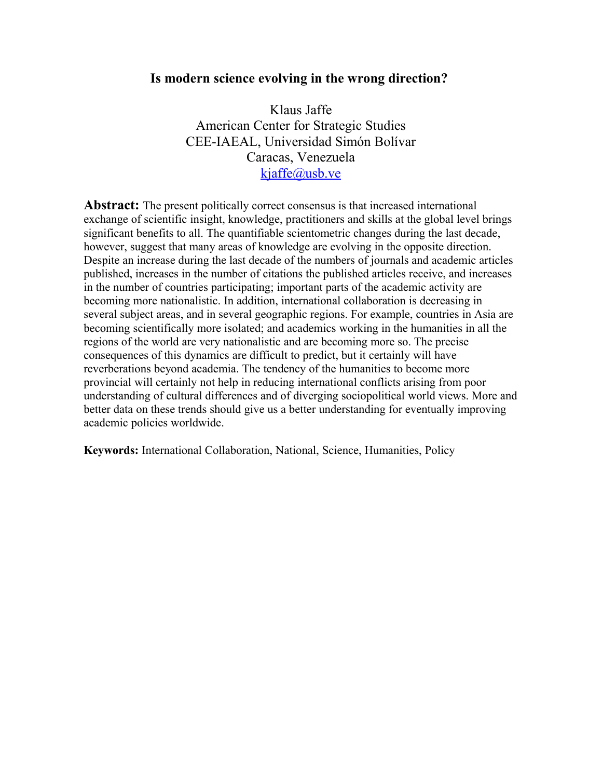## **Is modern science evolving in the wrong direction?**

Klaus Jaffe American Center for Strategic Studies CEE-IAEAL, Universidad Simón Bolívar Caracas, Venezuela [kjaffe@usb.ve](mailto:kjaffe@usb.ve)

**Abstract:** The present politically correct consensus is that increased international exchange of scientific insight, knowledge, practitioners and skills at the global level brings significant benefits to all. The quantifiable scientometric changes during the last decade, however, suggest that many areas of knowledge are evolving in the opposite direction. Despite an increase during the last decade of the numbers of journals and academic articles published, increases in the number of citations the published articles receive, and increases in the number of countries participating; important parts of the academic activity are becoming more nationalistic. In addition, international collaboration is decreasing in several subject areas, and in several geographic regions. For example, countries in Asia are becoming scientifically more isolated; and academics working in the humanities in all the regions of the world are very nationalistic and are becoming more so. The precise consequences of this dynamics are difficult to predict, but it certainly will have reverberations beyond academia. The tendency of the humanities to become more provincial will certainly not help in reducing international conflicts arising from poor understanding of cultural differences and of diverging sociopolitical world views. More and better data on these trends should give us a better understanding for eventually improving academic policies worldwide.

**Keywords:** International Collaboration, National, Science, Humanities, Policy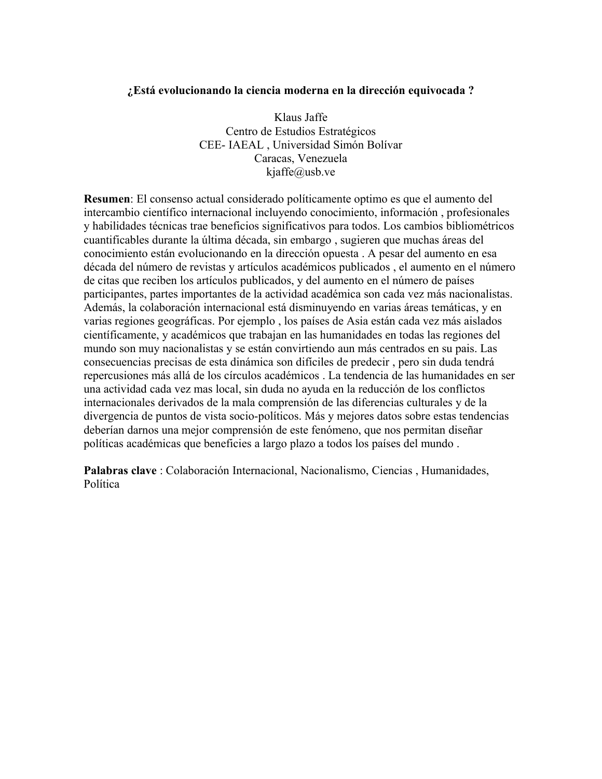### **¿Está evolucionando la ciencia moderna en la dirección equivocada ?**

Klaus Jaffe Centro de Estudios Estratégicos CEE- IAEAL , Universidad Simón Bolívar Caracas, Venezuela kjaffe@usb.ve

**Resumen**: El consenso actual considerado políticamente optimo es que el aumento del intercambio científico internacional incluyendo conocimiento, información , profesionales y habilidades técnicas trae beneficios significativos para todos. Los cambios bibliométricos cuantificables durante la última década, sin embargo , sugieren que muchas áreas del conocimiento están evolucionando en la dirección opuesta . A pesar del aumento en esa década del número de revistas y artículos académicos publicados , el aumento en el número de citas que reciben los artículos publicados, y del aumento en el número de países participantes, partes importantes de la actividad académica son cada vez más nacionalistas. Además, la colaboración internacional está disminuyendo en varias áreas temáticas, y en varias regiones geográficas. Por ejemplo , los países de Asia están cada vez más aislados científicamente, y académicos que trabajan en las humanidades en todas las regiones del mundo son muy nacionalistas y se están convirtiendo aun más centrados en su pais. Las consecuencias precisas de esta dinámica son difíciles de predecir , pero sin duda tendrá repercusiones más allá de los círculos académicos . La tendencia de las humanidades en ser una actividad cada vez mas local, sin duda no ayuda en la reducción de los conflictos internacionales derivados de la mala comprensión de las diferencias culturales y de la divergencia de puntos de vista socio-políticos. Más y mejores datos sobre estas tendencias deberían darnos una mejor comprensión de este fenómeno, que nos permitan diseñar políticas académicas que beneficies a largo plazo a todos los países del mundo .

**Palabras clave** : Colaboración Internacional, Nacionalismo, Ciencias , Humanidades, Política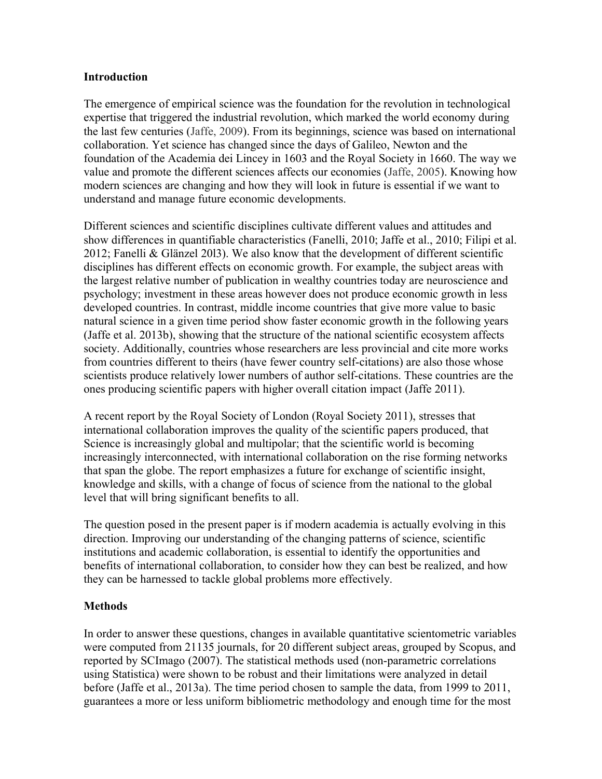### **Introduction**

The emergence of empirical science was the foundation for the revolution in technological expertise that triggered the industrial revolution, which marked the world economy during the last few centuries (Jaffe, 2009). From its beginnings, science was based on international collaboration. Yet science has changed since the days of Galileo, Newton and the foundation of the Academia dei Lincey in 1603 and the Royal Society in 1660. The way we value and promote the different sciences affects our economies (Jaffe, 2005). Knowing how modern sciences are changing and how they will look in future is essential if we want to understand and manage future economic developments.

Different sciences and scientific disciplines cultivate different values and attitudes and show differences in quantifiable characteristics (Fanelli, 2010; Jaffe et al., 2010; Filipi et al. 2012; Fanelli & Glänzel 20l3). We also know that the development of different scientific disciplines has different effects on economic growth. For example, the subject areas with the largest relative number of publication in wealthy countries today are neuroscience and psychology; investment in these areas however does not produce economic growth in less developed countries. In contrast, middle income countries that give more value to basic natural science in a given time period show faster economic growth in the following years (Jaffe et al. 2013b), showing that the structure of the national scientific ecosystem affects society. Additionally, countries whose researchers are less provincial and cite more works from countries different to theirs (have fewer country self-citations) are also those whose scientists produce relatively lower numbers of author self-citations. These countries are the ones producing scientific papers with higher overall citation impact (Jaffe 2011).

A recent report by the Royal Society of London (Royal Society 2011), stresses that international collaboration improves the quality of the scientific papers produced, that Science is increasingly global and multipolar; that the scientific world is becoming increasingly interconnected, with international collaboration on the rise forming networks that span the globe. The report emphasizes a future for exchange of scientific insight, knowledge and skills, with a change of focus of science from the national to the global level that will bring significant benefits to all.

The question posed in the present paper is if modern academia is actually evolving in this direction. Improving our understanding of the changing patterns of science, scientific institutions and academic collaboration, is essential to identify the opportunities and benefits of international collaboration, to consider how they can best be realized, and how they can be harnessed to tackle global problems more effectively.

## **Methods**

In order to answer these questions, changes in available quantitative scientometric variables were computed from 21135 journals, for 20 different subject areas, grouped by Scopus, and reported by SCImago (2007). The statistical methods used (non-parametric correlations using Statistica) were shown to be robust and their limitations were analyzed in detail before (Jaffe et al., 2013a). The time period chosen to sample the data, from 1999 to 2011, guarantees a more or less uniform bibliometric methodology and enough time for the most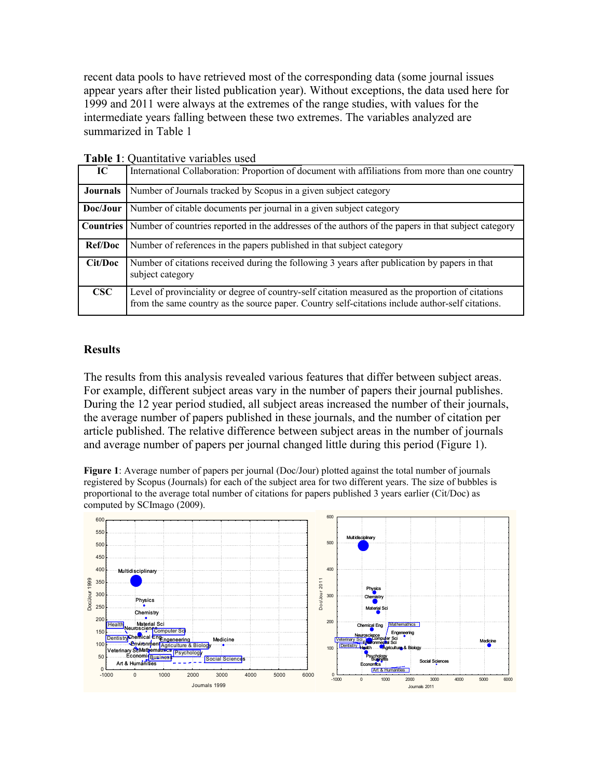recent data pools to have retrieved most of the corresponding data (some journal issues appear years after their listed publication year). Without exceptions, the data used here for 1999 and 2011 were always at the extremes of the range studies, with values for the intermediate years falling between these two extremes. The variables analyzed are summarized in Table 1

|                 | Tubic 1. Oudinium re ratiuolos ascu                                                                                                                                                                   |
|-----------------|-------------------------------------------------------------------------------------------------------------------------------------------------------------------------------------------------------|
| IC              | International Collaboration: Proportion of document with affiliations from more than one country                                                                                                      |
| <b>Journals</b> | Number of Journals tracked by Scopus in a given subject category                                                                                                                                      |
| Doc/Jour        | Number of citable documents per journal in a given subject category                                                                                                                                   |
| Countries       | Number of countries reported in the addresses of the authors of the papers in that subject category                                                                                                   |
| <b>Ref/Doc</b>  | Number of references in the papers published in that subject category                                                                                                                                 |
| Cit/Doc         | Number of citations received during the following 3 years after publication by papers in that<br>subject category                                                                                     |
| $\csc$          | Level of provinciality or degree of country-self citation measured as the proportion of citations<br>from the same country as the source paper. Country self-citations include author-self citations. |

**Table 1**: Quantitative variables used

#### **Results**

The results from this analysis revealed various features that differ between subject areas. For example, different subject areas vary in the number of papers their journal publishes. During the 12 year period studied, all subject areas increased the number of their journals, the average number of papers published in these journals, and the number of citation per article published. The relative difference between subject areas in the number of journals and average number of papers per journal changed little during this period (Figure 1).

**Figure 1**: Average number of papers per journal (Doc/Jour) plotted against the total number of journals registered by Scopus (Journals) for each of the subject area for two different years. The size of bubbles is proportional to the average total number of citations for papers published 3 years earlier (Cit/Doc) as computed by SCImago (2009).

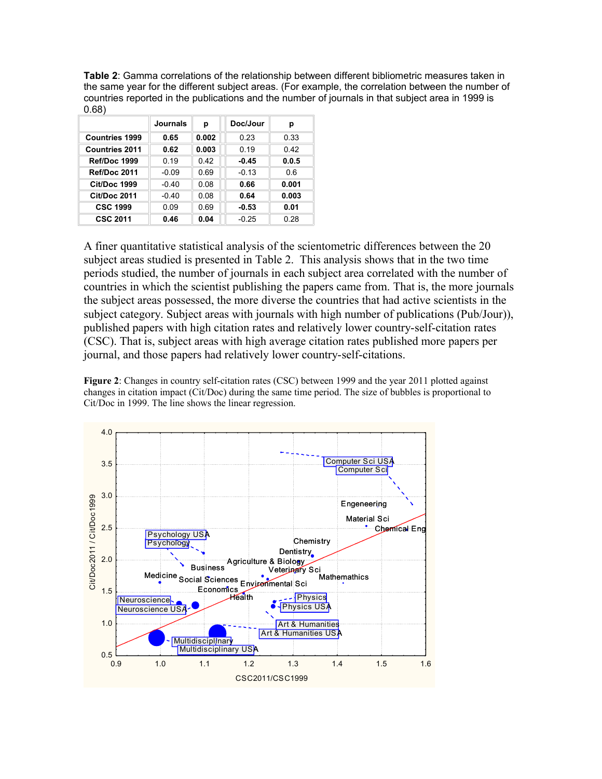**Table 2**: Gamma correlations of the relationship between different bibliometric measures taken in the same year for the different subject areas. (For example, the correlation between the number of countries reported in the publications and the number of journals in that subject area in 1999 is 0.68)

|                       | Journals | р     | Doc/Jour | р     |
|-----------------------|----------|-------|----------|-------|
| <b>Countries 1999</b> | 0.65     | 0.002 | 0.23     | 0.33  |
| <b>Countries 2011</b> | 0.62     | 0.003 | 0.19     | 0.42  |
| Ref/Doc 1999          | 0.19     | 0.42  | $-0.45$  | 0.0.5 |
| Ref/Doc 2011          | $-0.09$  | 0.69  | $-0.13$  | 0.6   |
| <b>Cit/Doc 1999</b>   | $-0.40$  | 0.08  | 0.66     | 0.001 |
| <b>Cit/Doc 2011</b>   | $-0.40$  | 0.08  | 0.64     | 0.003 |
| <b>CSC 1999</b>       | 0.09     | 0.69  | $-0.53$  | 0.01  |
| <b>CSC 2011</b>       | 0.46     | 0.04  | $-0.25$  | 0.28  |

A finer quantitative statistical analysis of the scientometric differences between the 20 subject areas studied is presented in Table 2. This analysis shows that in the two time periods studied, the number of journals in each subject area correlated with the number of countries in which the scientist publishing the papers came from. That is, the more journals the subject areas possessed, the more diverse the countries that had active scientists in the subject category. Subject areas with journals with high number of publications (Pub/Jour)), published papers with high citation rates and relatively lower country-self-citation rates (CSC). That is, subject areas with high average citation rates published more papers per journal, and those papers had relatively lower country-self-citations.

**Figure 2**: Changes in country self-citation rates (CSC) between 1999 and the year 2011 plotted against changes in citation impact (Cit/Doc) during the same time period. The size of bubbles is proportional to Cit/Doc in 1999. The line shows the linear regression.

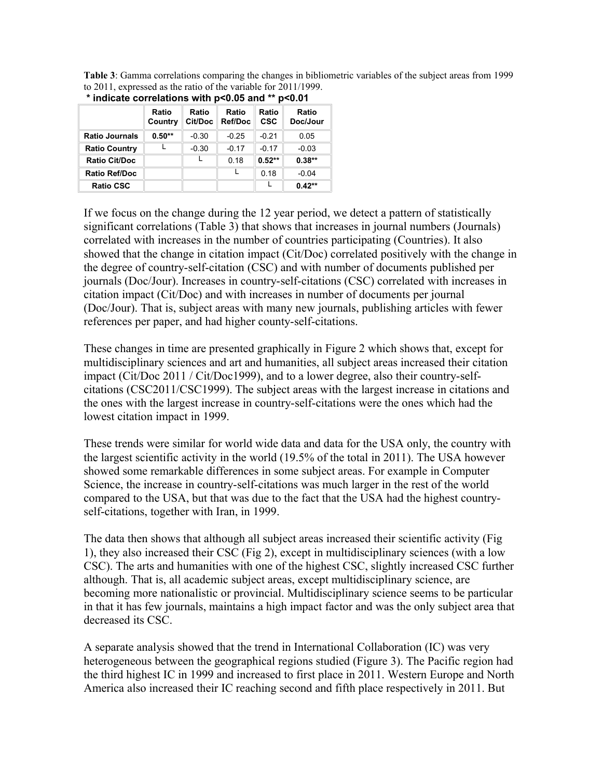**Table 3**: Gamma correlations comparing the changes in bibliometric variables of the subject areas from 1999 to 2011, expressed as the ratio of the variable for 2011/1999.

| " indicate correlations with p<0.05 and "" p<0.01 |                  |                  |                  |                     |                   |  |  |
|---------------------------------------------------|------------------|------------------|------------------|---------------------|-------------------|--|--|
|                                                   | Ratio<br>Country | Ratio<br>Cit/Doc | Ratio<br>Ref/Doc | Ratio<br><b>CSC</b> | Ratio<br>Doc/Jour |  |  |
| <b>Ratio Journals</b>                             | $0.50**$         | $-0.30$          | $-0.25$          | $-0.21$             | 0.05              |  |  |
| <b>Ratio Country</b>                              |                  | $-0.30$          | $-0.17$          | $-0.17$             | $-0.03$           |  |  |
| <b>Ratio Cit/Doc</b>                              |                  |                  | 0.18             | $0.52**$            | $0.38**$          |  |  |
| <b>Ratio Ref/Doc</b>                              |                  |                  |                  | 0.18                | $-0.04$           |  |  |
| <b>Ratio CSC</b>                                  |                  |                  |                  | L                   | $0.42**$          |  |  |

| * indicate correlations with p<0.05 and ** p<0.01 |  |  |
|---------------------------------------------------|--|--|

If we focus on the change during the 12 year period, we detect a pattern of statistically significant correlations (Table 3) that shows that increases in journal numbers (Journals) correlated with increases in the number of countries participating (Countries). It also showed that the change in citation impact (Cit/Doc) correlated positively with the change in the degree of country-self-citation (CSC) and with number of documents published per journals (Doc/Jour). Increases in country-self-citations (CSC) correlated with increases in citation impact (Cit/Doc) and with increases in number of documents per journal (Doc/Jour). That is, subject areas with many new journals, publishing articles with fewer references per paper, and had higher county-self-citations.

These changes in time are presented graphically in Figure 2 which shows that, except for multidisciplinary sciences and art and humanities, all subject areas increased their citation impact (Cit/Doc 2011 / Cit/Doc1999), and to a lower degree, also their country-selfcitations (CSC2011/CSC1999). The subject areas with the largest increase in citations and the ones with the largest increase in country-self-citations were the ones which had the lowest citation impact in 1999.

These trends were similar for world wide data and data for the USA only, the country with the largest scientific activity in the world (19.5% of the total in 2011). The USA however showed some remarkable differences in some subject areas. For example in Computer Science, the increase in country-self-citations was much larger in the rest of the world compared to the USA, but that was due to the fact that the USA had the highest countryself-citations, together with Iran, in 1999.

The data then shows that although all subject areas increased their scientific activity (Fig 1), they also increased their CSC (Fig 2), except in multidisciplinary sciences (with a low CSC). The arts and humanities with one of the highest CSC, slightly increased CSC further although. That is, all academic subject areas, except multidisciplinary science, are becoming more nationalistic or provincial. Multidisciplinary science seems to be particular in that it has few journals, maintains a high impact factor and was the only subject area that decreased its CSC.

A separate analysis showed that the trend in International Collaboration (IC) was very heterogeneous between the geographical regions studied (Figure 3). The Pacific region had the third highest IC in 1999 and increased to first place in 2011. Western Europe and North America also increased their IC reaching second and fifth place respectively in 2011. But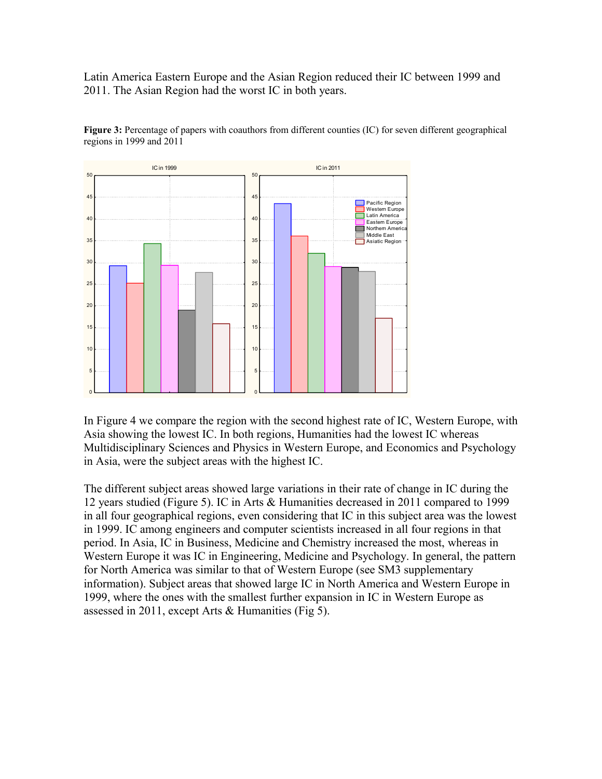Latin America Eastern Europe and the Asian Region reduced their IC between 1999 and 2011. The Asian Region had the worst IC in both years.



**Figure 3:** Percentage of papers with coauthors from different counties (IC) for seven different geographical regions in 1999 and 2011

In Figure 4 we compare the region with the second highest rate of IC, Western Europe, with Asia showing the lowest IC. In both regions, Humanities had the lowest IC whereas Multidisciplinary Sciences and Physics in Western Europe, and Economics and Psychology in Asia, were the subject areas with the highest IC.

The different subject areas showed large variations in their rate of change in IC during the 12 years studied (Figure 5). IC in Arts & Humanities decreased in 2011 compared to 1999 in all four geographical regions, even considering that IC in this subject area was the lowest in 1999. IC among engineers and computer scientists increased in all four regions in that period. In Asia, IC in Business, Medicine and Chemistry increased the most, whereas in Western Europe it was IC in Engineering, Medicine and Psychology. In general, the pattern for North America was similar to that of Western Europe (see SM3 supplementary information). Subject areas that showed large IC in North America and Western Europe in 1999, where the ones with the smallest further expansion in IC in Western Europe as assessed in 2011, except Arts & Humanities (Fig 5).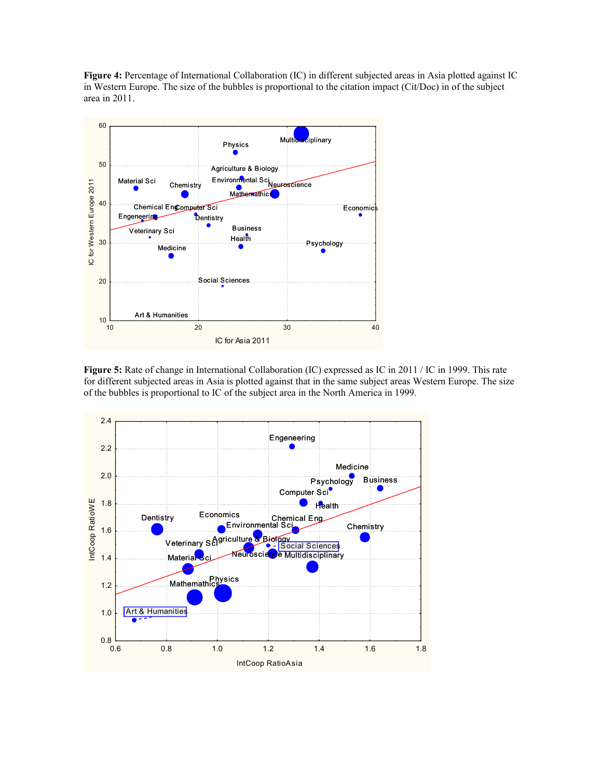**Figure 4:** Percentage of International Collaboration (IC) in different subjected areas in Asia plotted against IC in Western Europe. The size of the bubbles is proportional to the citation impact (Cit/Doc) in of the subject area in 2011.



**Figure 5:** Rate of change in International Collaboration (IC) expressed as IC in 2011 / IC in 1999. This rate for different subjected areas in Asia is plotted against that in the same subject areas Western Europe. The size of the bubbles is proportional to IC of the subject area in the North America in 1999.

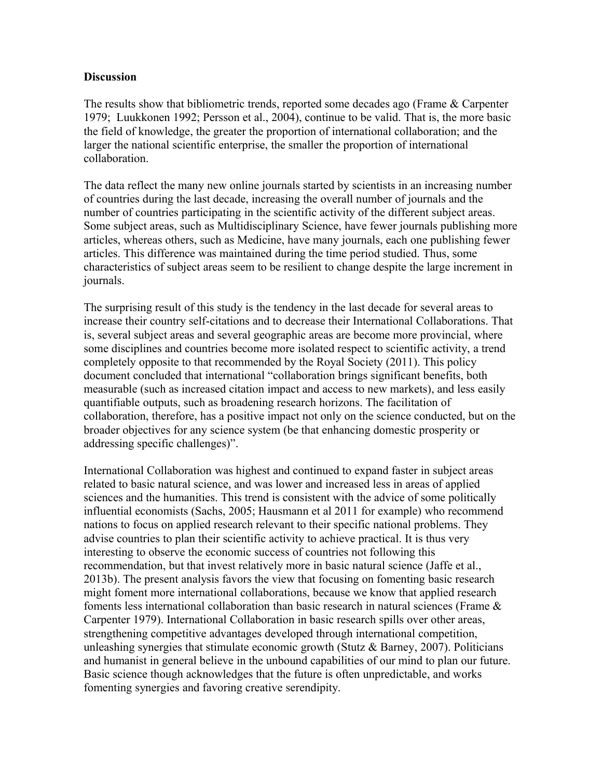#### **Discussion**

The results show that bibliometric trends, reported some decades ago (Frame & Carpenter 1979; Luukkonen 1992; Persson et al., 2004), continue to be valid. That is, the more basic the field of knowledge, the greater the proportion of international collaboration; and the larger the national scientific enterprise, the smaller the proportion of international collaboration.

The data reflect the many new online journals started by scientists in an increasing number of countries during the last decade, increasing the overall number of journals and the number of countries participating in the scientific activity of the different subject areas. Some subject areas, such as Multidisciplinary Science, have fewer journals publishing more articles, whereas others, such as Medicine, have many journals, each one publishing fewer articles. This difference was maintained during the time period studied. Thus, some characteristics of subject areas seem to be resilient to change despite the large increment in journals.

The surprising result of this study is the tendency in the last decade for several areas to increase their country self-citations and to decrease their International Collaborations. That is, several subject areas and several geographic areas are become more provincial, where some disciplines and countries become more isolated respect to scientific activity, a trend completely opposite to that recommended by the Royal Society (2011). This policy document concluded that international "collaboration brings significant benefits, both measurable (such as increased citation impact and access to new markets), and less easily quantifiable outputs, such as broadening research horizons. The facilitation of collaboration, therefore, has a positive impact not only on the science conducted, but on the broader objectives for any science system (be that enhancing domestic prosperity or addressing specific challenges)".

International Collaboration was highest and continued to expand faster in subject areas related to basic natural science, and was lower and increased less in areas of applied sciences and the humanities. This trend is consistent with the advice of some politically influential economists (Sachs, 2005; Hausmann et al 2011 for example) who recommend nations to focus on applied research relevant to their specific national problems. They advise countries to plan their scientific activity to achieve practical. It is thus very interesting to observe the economic success of countries not following this recommendation, but that invest relatively more in basic natural science (Jaffe et al., 2013b). The present analysis favors the view that focusing on fomenting basic research might foment more international collaborations, because we know that applied research foments less international collaboration than basic research in natural sciences (Frame & Carpenter 1979). International Collaboration in basic research spills over other areas, strengthening competitive advantages developed through international competition, unleashing synergies that stimulate economic growth (Stutz  $\&$  Barney, 2007). Politicians and humanist in general believe in the unbound capabilities of our mind to plan our future. Basic science though acknowledges that the future is often unpredictable, and works fomenting synergies and favoring creative serendipity.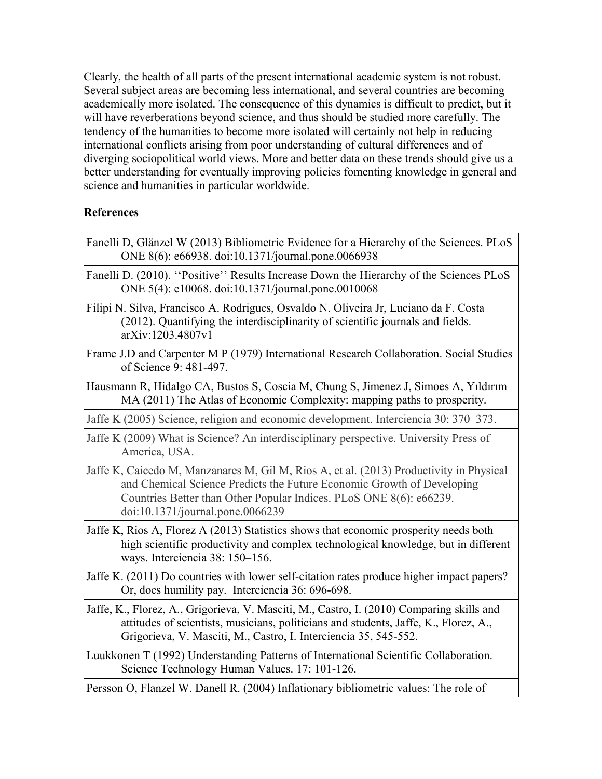Clearly, the health of all parts of the present international academic system is not robust. Several subject areas are becoming less international, and several countries are becoming academically more isolated. The consequence of this dynamics is difficult to predict, but it will have reverberations beyond science, and thus should be studied more carefully. The tendency of the humanities to become more isolated will certainly not help in reducing international conflicts arising from poor understanding of cultural differences and of diverging sociopolitical world views. More and better data on these trends should give us a better understanding for eventually improving policies fomenting knowledge in general and science and humanities in particular worldwide.

## **References**

Fanelli D, Glänzel W (2013) Bibliometric Evidence for a Hierarchy of the Sciences. PLoS ONE 8(6): e66938. doi:10.1371/journal.pone.0066938 Fanelli D. (2010). ''Positive'' Results Increase Down the Hierarchy of the Sciences PLoS ONE 5(4): e10068. doi:10.1371/journal.pone.0010068 Filipi N. Silva, Francisco A. Rodrigues, Osvaldo N. Oliveira Jr, Luciano da F. Costa (2012). Quantifying the interdisciplinarity of scientific journals and fields. arXiv:1203.4807v1 Frame J.D and Carpenter M P (1979) International Research Collaboration. Social Studies of Science 9: 481-497. Hausmann R, Hidalgo CA, Bustos S, Coscia M, Chung S, Jimenez J, Simoes A, Yıldırım MA (2011) The Atlas of Economic Complexity: mapping paths to prosperity. Jaffe K (2005) Science, religion and economic development. Interciencia 30: 370–373. Jaffe K (2009) What is Science? An interdisciplinary perspective. University Press of America, USA. Jaffe K, Caicedo M, Manzanares M, Gil M, Rios A, et al. (2013) Productivity in Physical and Chemical Science Predicts the Future Economic Growth of Developing Countries Better than Other Popular Indices. PLoS ONE 8(6): e66239. doi:10.1371/journal.pone.0066239 Jaffe K, Rios A, Florez A (2013) Statistics shows that economic prosperity needs both high scientific productivity and complex technological knowledge, but in different ways. Interciencia 38: 150–156. Jaffe K. (2011) Do countries with lower self-citation rates produce higher impact papers? Or, does humility pay. Interciencia 36: 696-698. Jaffe, K., Florez, A., Grigorieva, V. Masciti, M., Castro, I. (2010) Comparing skills and attitudes of scientists, musicians, politicians and students, Jaffe, K., Florez, A., Grigorieva, V. Masciti, M., Castro, I. Interciencia 35, 545-552. Luukkonen T (1992) Understanding Patterns of International Scientific Collaboration. Science Technology Human Values. 17: 101-126. Persson O, Flanzel W. Danell R. (2004) [Inflationary bibliometric values: The role of](http://www.akademiai.com/content/h880j22v8t145572/)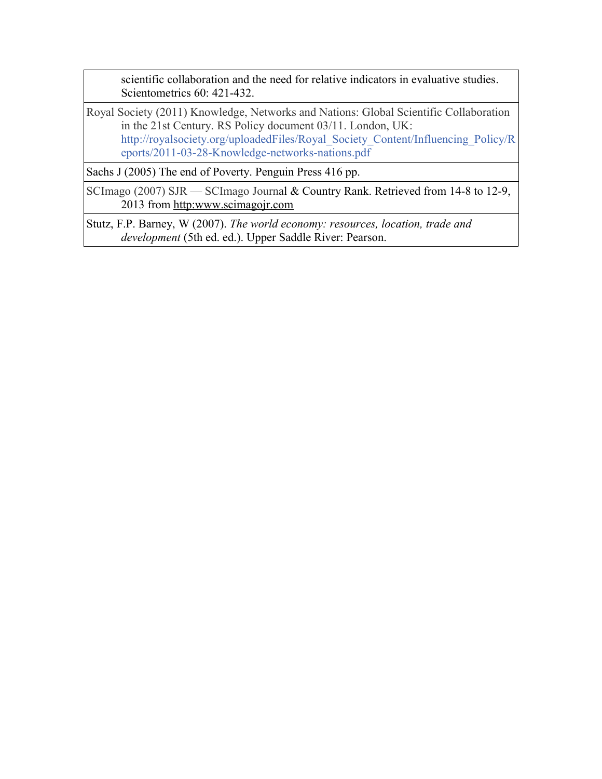[scientific collaboration and the need for relative indicators in evaluative studies.](http://www.akademiai.com/content/h880j22v8t145572/) Scientometrics 60: 421-432.

Royal Society (2011) Knowledge, Networks and Nations: Global Scientific Collaboration in the 21st Century. RS Policy document 03/11. London, UK: [http://royalsociety.org/uploadedFiles/Royal\\_Society\\_Content/Influencing\\_Policy/R](http://royalsociety.org/uploadedFiles/Royal_Society_Content/Influencing_Policy/Reports/2011-03-28-Knowledge-networks-nations.pdf) [eports/2011-03-28-Knowledge-networks-nations.pdf](http://royalsociety.org/uploadedFiles/Royal_Society_Content/Influencing_Policy/Reports/2011-03-28-Knowledge-networks-nations.pdf)

Sachs J (2005) The end of Poverty. Penguin Press 416 pp.

SCImago (2007) SJR — SCImago Journal & Country Rank. Retrieved from 14-8 to 12-9, 2013 from [http:www.scimagojr.com](http://www.plosone.org/article/www.scimagojr.com)

Stutz, F.P. Barney, W (2007). *The world economy: resources, location, trade and development* (5th ed. ed.). Upper Saddle River: Pearson.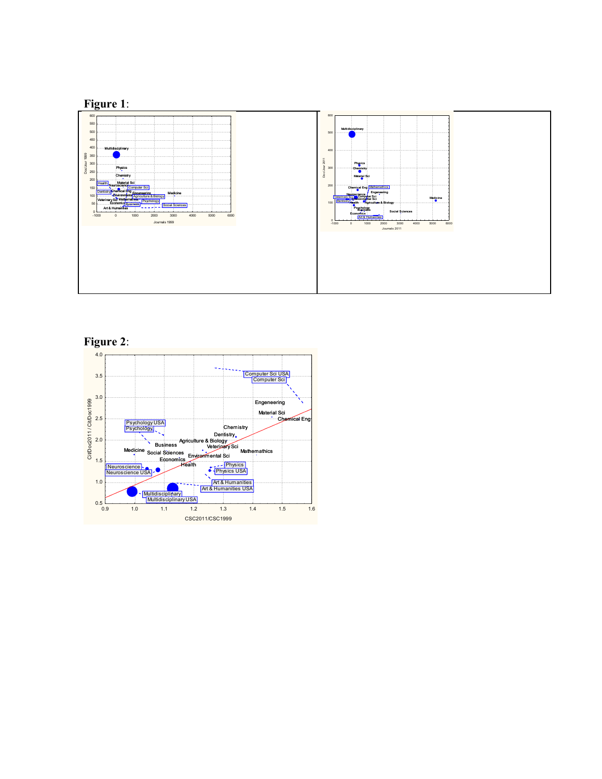

**Figure 2**:

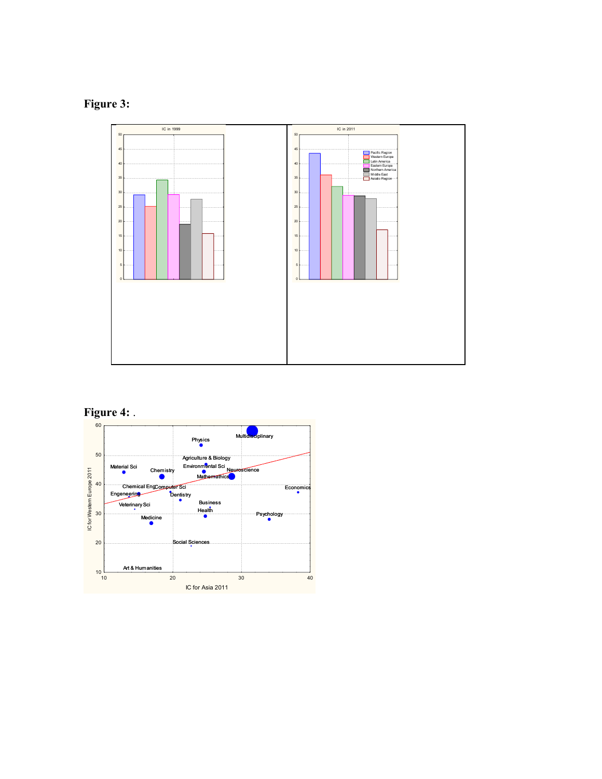# **Figure 3:**



#### **Figure 4:** .

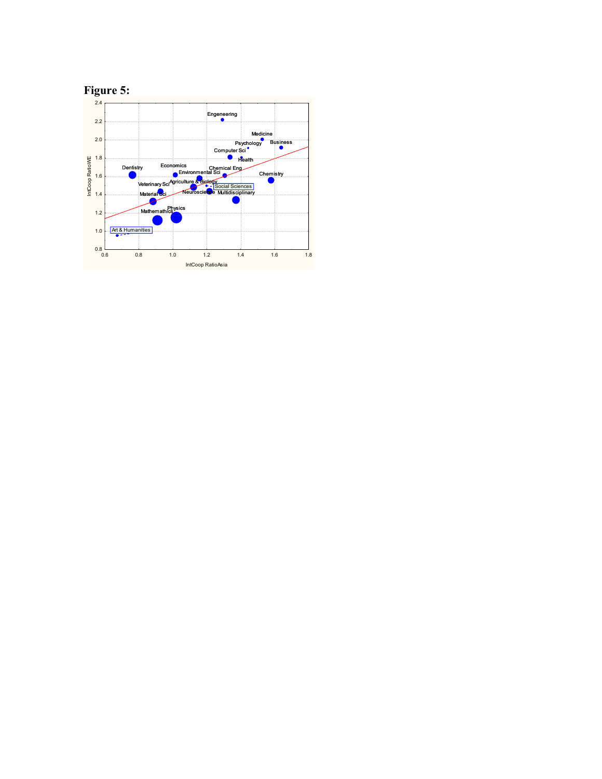